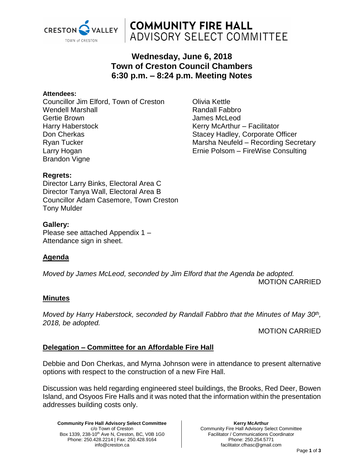

# **COMMUNITY FIRE HALL** ADVISORY SELECT COMMITTEE

# **Wednesday, June 6, 2018 Town of Creston Council Chambers 6:30 p.m. – 8:24 p.m. Meeting Notes**

#### **Attendees:**

Councillor Jim Elford, Town of Creston Wendell Marshall Gertie Brown Harry Haberstock Don Cherkas Ryan Tucker Larry Hogan Brandon Vigne

Olivia Kettle Randall Fabbro James McLeod Kerry McArthur – Facilitator Stacey Hadley, Corporate Officer Marsha Neufeld – Recording Secretary Ernie Polsom – FireWise Consulting

### **Regrets:**

Director Larry Binks, Electoral Area C Director Tanya Wall, Electoral Area B Councillor Adam Casemore, Town Creston Tony Mulder

### **Gallery:**

Please see attached Appendix 1 – Attendance sign in sheet.

# **Agenda**

*Moved by James McLeod, seconded by Jim Elford that the Agenda be adopted.* MOTION CARRIED

### **Minutes**

*Moved by Harry Haberstock, seconded by Randall Fabbro that the Minutes of May 30th , 2018, be adopted.* 

MOTION CARRIED

# **Delegation – Committee for an Affordable Fire Hall**

Debbie and Don Cherkas, and Myrna Johnson were in attendance to present alternative options with respect to the construction of a new Fire Hall.

Discussion was held regarding engineered steel buildings, the Brooks, Red Deer, Bowen Island, and Osyoos Fire Halls and it was noted that the information within the presentation addresses building costs only.

**Community Fire Hall Advisory Select Committee** c/o Town of Creston Box 1339, 238-10<sup>th</sup> Ave N, Creston, BC, V0B 1G0 Phone: 250.428.2214 | Fax: 250.428.9164 info@creston.ca

**Kerry McArthur** Community Fire Hall Advisory Select Committee Facilitator / Communications Coordinator Phone: 250.254.5771 facilitator.cfhasc@gmail.com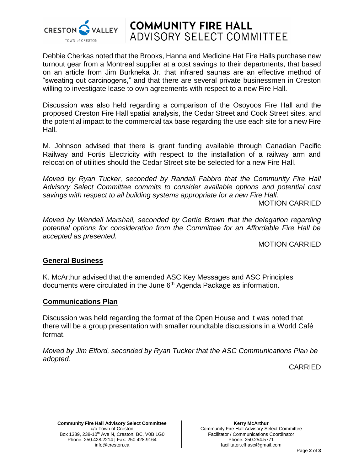

# **COMMUNITY FIRE HALL<br>ADVISORY SELECT COMMITTEE**

Debbie Cherkas noted that the Brooks, Hanna and Medicine Hat Fire Halls purchase new turnout gear from a Montreal supplier at a cost savings to their departments, that based on an article from Jim Burkneka Jr. that infrared saunas are an effective method of "sweating out carcinogens," and that there are several private businessmen in Creston willing to investigate lease to own agreements with respect to a new Fire Hall.

Discussion was also held regarding a comparison of the Osoyoos Fire Hall and the proposed Creston Fire Hall spatial analysis, the Cedar Street and Cook Street sites, and the potential impact to the commercial tax base regarding the use each site for a new Fire Hall.

M. Johnson advised that there is grant funding available through Canadian Pacific Railway and Fortis Electricity with respect to the installation of a railway arm and relocation of utilities should the Cedar Street site be selected for a new Fire Hall.

*Moved by Ryan Tucker, seconded by Randall Fabbro that the Community Fire Hall Advisory Select Committee commits to consider available options and potential cost savings with respect to all building systems appropriate for a new Fire Hall.*

MOTION CARRIED

*Moved by Wendell Marshall, seconded by Gertie Brown that the delegation regarding potential options for consideration from the Committee for an Affordable Fire Hall be accepted as presented.*

MOTION CARRIED

### **General Business**

K. McArthur advised that the amended ASC Key Messages and ASC Principles documents were circulated in the June 6<sup>th</sup> Agenda Package as information.

### **Communications Plan**

Discussion was held regarding the format of the Open House and it was noted that there will be a group presentation with smaller roundtable discussions in a World Café format.

*Moved by Jim Elford, seconded by Ryan Tucker that the ASC Communications Plan be adopted.*

CARRIED

**Community Fire Hall Advisory Select Committee** c/o Town of Creston Box 1339, 238-10<sup>th</sup> Ave N, Creston, BC, V0B 1G0 Phone: 250.428.2214 | Fax: 250.428.9164 info@creston.ca

**Kerry McArthur** Community Fire Hall Advisory Select Committee Facilitator / Communications Coordinator Phone: 250.254.5771 facilitator.cfhasc@gmail.com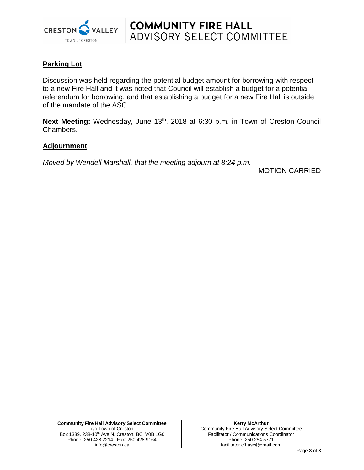

# **Parking Lot**

Discussion was held regarding the potential budget amount for borrowing with respect to a new Fire Hall and it was noted that Council will establish a budget for a potential referendum for borrowing, and that establishing a budget for a new Fire Hall is outside of the mandate of the ASC.

**COMMUNITY FIRE HALL<br>ADVISORY SELECT COMMITTEE** 

**Next Meeting:** Wednesday, June 13<sup>th</sup>, 2018 at 6:30 p.m. in Town of Creston Council Chambers.

### **Adjournment**

*Moved by Wendell Marshall, that the meeting adjourn at 8:24 p.m.*

MOTION CARRIED

**Kerry McArthur** Community Fire Hall Advisory Select Committee Facilitator / Communications Coordinator Phone: 250.254.5771 facilitator.cfhasc@gmail.com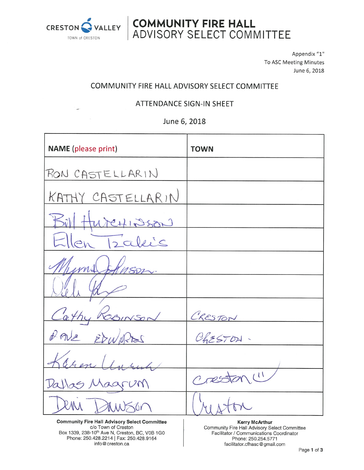

w

**COMMUNITY FIRE HALL<br>ADVISORY SELECT COMMITTEE** 

Appendix "1" To ASC Meeting Minutes June 6, 2018

# COMMUNITY FIRE HALL ADVISORY SELECT COMMITTEE

### **ATTENDANCE SIGN-IN SHEET**

June 6, 2018

| <b>NAME</b> (please print)                                                                             | <b>TOWN</b>                                                 |
|--------------------------------------------------------------------------------------------------------|-------------------------------------------------------------|
| RON CASTELLARIN                                                                                        |                                                             |
| KATHY CASTELLARIN                                                                                      |                                                             |
| Bill HureHINSON                                                                                        |                                                             |
| Ellen Izaleis                                                                                          |                                                             |
| hums bhuson.                                                                                           |                                                             |
|                                                                                                        |                                                             |
| Cathy ROBINSON                                                                                         | CRESTON                                                     |
| PAUL EDWARTES                                                                                          | ChESTON.                                                    |
| Keren Unruh                                                                                            |                                                             |
| Dallas Magrum                                                                                          | Creston (1)                                                 |
|                                                                                                        |                                                             |
| <b>Community Fire Hall Advisory Select Committee</b><br>$\alpha$ / $\alpha$ Tays $\alpha$ <sup>1</sup> | <b>Kerry McArthur</b><br>$\sim$ $\sim$ $\sim$ $\sim$ $\sim$ |

c/o Town of Creston<br>Box 1339, 238-10<sup>th</sup> Ave N, Creston, BC, V0B 1G0<br>Phone: 250.428.2214 | Fax: 250.428.9164 info@creston.ca

Community Fire Hall Advisory Select Committee Facilitator / Communications Coordinator Phone: 250.254.5771 facilitator.cfhasc@gmail.com